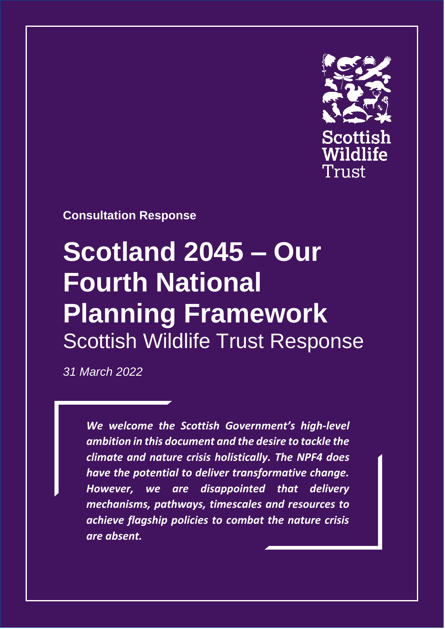

Page **1** of **18**

## **Consultation Response**

# **Scotland 2045 – Our Fourth National Planning Framework** Scottish Wildlife Trust Response

*31 March 2022*

*We welcome the Scottish Government's high-level ambition in this document and the desire to tackle the climate and nature crisis holistically. The NPF4 does have the potential to deliver transformative change. However, we are disappointed that delivery mechanisms, pathways, timescales and resources to achieve flagship policies to combat the nature crisis are absent.*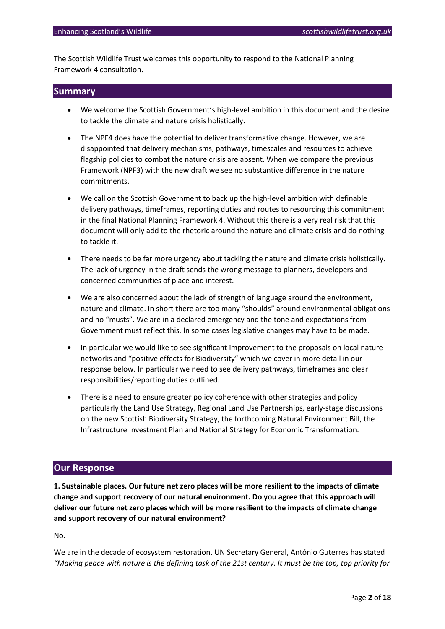The Scottish Wildlife Trust welcomes this opportunity to respond to the National Planning Framework 4 consultation.

### **Summary**

- We welcome the Scottish Government's high-level ambition in this document and the desire to tackle the climate and nature crisis holistically.
- The NPF4 does have the potential to deliver transformative change. However, we are disappointed that delivery mechanisms, pathways, timescales and resources to achieve flagship policies to combat the nature crisis are absent. When we compare the previous Framework (NPF3) with the new draft we see no substantive difference in the nature commitments.
- We call on the Scottish Government to back up the high-level ambition with definable delivery pathways, timeframes, reporting duties and routes to resourcing this commitment in the final National Planning Framework 4. Without this there is a very real risk that this document will only add to the rhetoric around the nature and climate crisis and do nothing to tackle it.
- There needs to be far more urgency about tackling the nature and climate crisis holistically. The lack of urgency in the draft sends the wrong message to planners, developers and concerned communities of place and interest.
- We are also concerned about the lack of strength of language around the environment, nature and climate. In short there are too many "shoulds" around environmental obligations and no "musts". We are in a declared emergency and the tone and expectations from Government must reflect this. In some cases legislative changes may have to be made.
- In particular we would like to see significant improvement to the proposals on local nature networks and "positive effects for Biodiversity" which we cover in more detail in our response below. In particular we need to see delivery pathways, timeframes and clear responsibilities/reporting duties outlined.
- There is a need to ensure greater policy coherence with other strategies and policy particularly the Land Use Strategy, Regional Land Use Partnerships, early-stage discussions on the new Scottish Biodiversity Strategy, the forthcoming Natural Environment Bill, the Infrastructure Investment Plan and National Strategy for Economic Transformation.

## **Our Response**

**1. Sustainable places. Our future net zero places will be more resilient to the impacts of climate change and support recovery of our natural environment. Do you agree that this approach will deliver our future net zero places which will be more resilient to the impacts of climate change and support recovery of our natural environment?**

No.

We are in the decade of ecosystem restoration. UN Secretary General, António Guterres has stated *"Making peace with nature is the defining task of the 21st century. It must be the top, top priority for*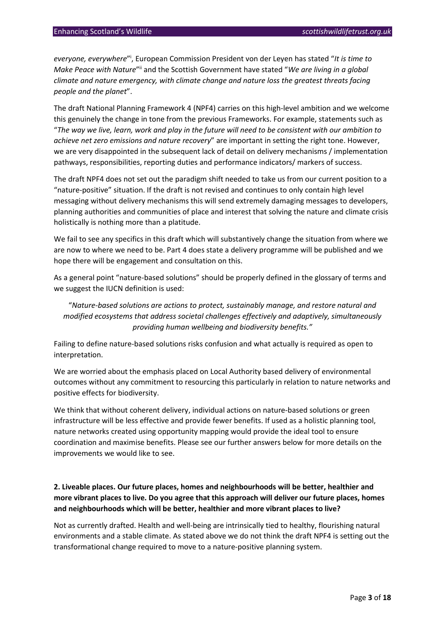everyone, everywhere"<sup>i</sup>, European Commission President von der Leyen has stated "It is time to Make Peace with Nature"<sup>ii</sup> and the Scottish Government have stated "We are living in a global *climate and nature emergency, with climate change and nature loss the greatest threats facing people and the planet*".

The draft National Planning Framework 4 (NPF4) carries on this high-level ambition and we welcome this genuinely the change in tone from the previous Frameworks. For example, statements such as "*The way we live, learn, work and play in the future will need to be consistent with our ambition to achieve net zero emissions and nature recovery*" are important in setting the right tone. However, we are very disappointed in the subsequent lack of detail on delivery mechanisms / implementation pathways, responsibilities, reporting duties and performance indicators/ markers of success.

The draft NPF4 does not set out the paradigm shift needed to take us from our current position to a "nature-positive" situation. If the draft is not revised and continues to only contain high level messaging without delivery mechanisms this will send extremely damaging messages to developers, planning authorities and communities of place and interest that solving the nature and climate crisis holistically is nothing more than a platitude.

We fail to see any specifics in this draft which will substantively change the situation from where we are now to where we need to be. Part 4 does state a delivery programme will be published and we hope there will be engagement and consultation on this.

As a general point "nature-based solutions" should be properly defined in the glossary of terms and we suggest the IUCN definition is used:

"*Nature-based solutions are actions to protect, sustainably manage, and restore natural and modified ecosystems that address societal challenges effectively and adaptively, simultaneously providing human wellbeing and biodiversity benefits."*

Failing to define nature-based solutions risks confusion and what actually is required as open to interpretation.

We are worried about the emphasis placed on Local Authority based delivery of environmental outcomes without any commitment to resourcing this particularly in relation to nature networks and positive effects for biodiversity.

We think that without coherent delivery, individual actions on nature-based solutions or green infrastructure will be less effective and provide fewer benefits. If used as a holistic planning tool, nature networks created using opportunity mapping would provide the ideal tool to ensure coordination and maximise benefits. Please see our further answers below for more details on the improvements we would like to see.

## **2. Liveable places. Our future places, homes and neighbourhoods will be better, healthier and more vibrant places to live. Do you agree that this approach will deliver our future places, homes and neighbourhoods which will be better, healthier and more vibrant places to live?**

Not as currently drafted. Health and well-being are intrinsically tied to healthy, flourishing natural environments and a stable climate. As stated above we do not think the draft NPF4 is setting out the transformational change required to move to a nature-positive planning system.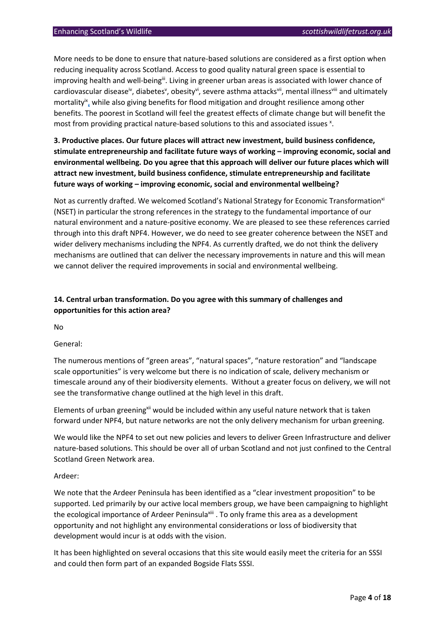More needs to be done to ensure that nature-based solutions are considered as a first option when reducing inequality across Scotland. Access to good quality natural green space is essential to improving health and well-being<sup>iii</sup>. Living in greener urban areas is associated with lower chance of cardiovascular disease<sup>iv</sup>, diabetes<sup>v</sup>, obesity<sup>vi</sup>, severe asthma attacks<sup>vii</sup>, mental illness<sup>viii</sup> and ultimately mortality<sup>ix</sup>, while also giving benefits for flood mitigation and drought resilience among other benefits. The poorest in Scotland will feel the greatest effects of climate change but will benefit the most from providing practical nature-based solutions to this and associated issues x.

## **3. Productive places. Our future places will attract new investment, build business confidence, stimulate entrepreneurship and facilitate future ways of working – improving economic, social and environmental wellbeing. Do you agree that this approach will deliver our future places which will attract new investment, build business confidence, stimulate entrepreneurship and facilitate future ways of working – improving economic, social and environmental wellbeing?**

Not as currently drafted. We welcomed Scotland's National Strategy for Economic Transformation<sup>xi</sup> (NSET) in particular the strong references in the strategy to the fundamental importance of our natural environment and a nature-positive economy. We are pleased to see these references carried through into this draft NPF4. However, we do need to see greater coherence between the NSET and wider delivery mechanisms including the NPF4. As currently drafted, we do not think the delivery mechanisms are outlined that can deliver the necessary improvements in nature and this will mean we cannot deliver the required improvements in social and environmental wellbeing.

## **14. Central urban transformation. Do you agree with this summary of challenges and opportunities for this action area?**

No

#### General:

The numerous mentions of "green areas", "natural spaces", "nature restoration" and "landscape scale opportunities" is very welcome but there is no indication of scale, delivery mechanism or timescale around any of their biodiversity elements. Without a greater focus on delivery, we will not see the transformative change outlined at the high level in this draft.

Elements of urban greening<sup>xii</sup> would be included within any useful nature network that is taken forward under NPF4, but nature networks are not the only delivery mechanism for urban greening.

We would like the NPF4 to set out new policies and levers to deliver Green Infrastructure and deliver nature-based solutions. This should be over all of urban Scotland and not just confined to the Central Scotland Green Network area.

#### Ardeer:

We note that the Ardeer Peninsula has been identified as a "clear investment proposition" to be supported. Led primarily by our active local members group, we have been campaigning to highlight the ecological importance of Ardeer Peninsula<sup>xiii</sup>. To only frame this area as a development opportunity and not highlight any environmental considerations or loss of biodiversity that development would incur is at odds with the vision.

It has been highlighted on several occasions that this site would easily meet the criteria for an SSSI and could then form part of an expanded Bogside Flats SSSI.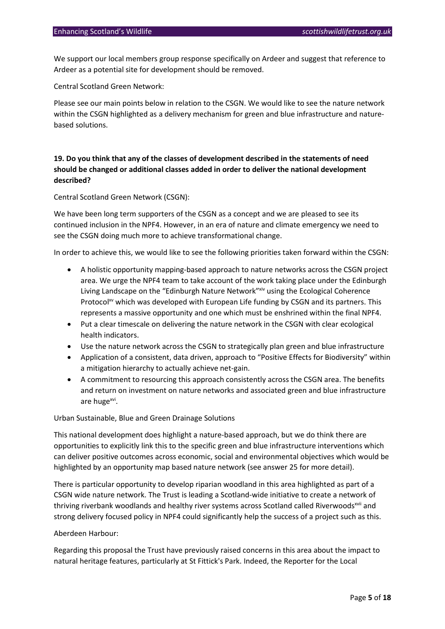We support our local members group response specifically on Ardeer and suggest that reference to Ardeer as a potential site for development should be removed.

Central Scotland Green Network:

Please see our main points below in relation to the CSGN. We would like to see the nature network within the CSGN highlighted as a delivery mechanism for green and blue infrastructure and naturebased solutions.

## **19. Do you think that any of the classes of development described in the statements of need should be changed or additional classes added in order to deliver the national development described?**

Central Scotland Green Network (CSGN):

We have been long term supporters of the CSGN as a concept and we are pleased to see its continued inclusion in the NPF4. However, in an era of nature and climate emergency we need to see the CSGN doing much more to achieve transformational change.

In order to achieve this, we would like to see the following priorities taken forward within the CSGN:

- A holistic opportunity mapping-based approach to nature networks across the CSGN project area. We urge the NPF4 team to take account of the work taking place under the Edinburgh Living Landscape on the "Edinburgh Nature Network"xiv using the Ecological Coherence Protocol<sup>xv</sup> which was developed with European Life funding by CSGN and its partners. This represents a massive opportunity and one which must be enshrined within the final NPF4.
- Put a clear timescale on delivering the nature network in the CSGN with clear ecological health indicators.
- Use the nature network across the CSGN to strategically plan green and blue infrastructure
- Application of a consistent, data driven, approach to "Positive Effects for Biodiversity" within a mitigation hierarchy to actually achieve net-gain.
- A commitment to resourcing this approach consistently across the CSGN area. The benefits and return on investment on nature networks and associated green and blue infrastructure are huge<sup>xvi</sup>.

Urban Sustainable, Blue and Green Drainage Solutions

This national development does highlight a nature-based approach, but we do think there are opportunities to explicitly link this to the specific green and blue infrastructure interventions which can deliver positive outcomes across economic, social and environmental objectives which would be highlighted by an opportunity map based nature network (see answer 25 for more detail).

There is particular opportunity to develop riparian woodland in this area highlighted as part of a CSGN wide nature network. The Trust is leading a Scotland-wide initiative to create a network of thriving riverbank woodlands and healthy river systems across Scotland called Riverwoods<sup>xvii</sup> and strong delivery focused policy in NPF4 could significantly help the success of a project such as this.

#### Aberdeen Harbour:

Regarding this proposal the Trust have previously raised concerns in this area about the impact to natural heritage features, particularly at St Fittick's Park. Indeed, the Reporter for the Local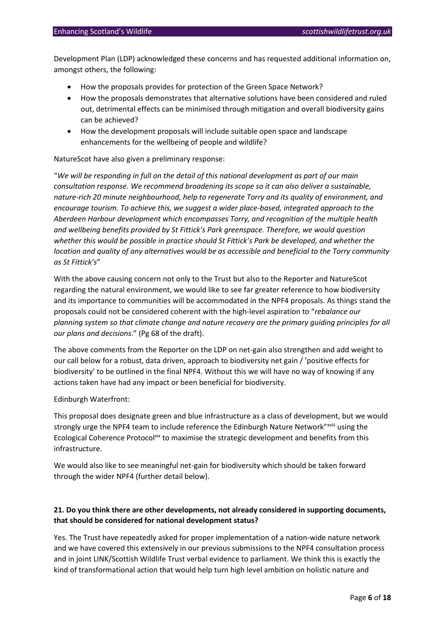Development Plan (LDP) acknowledged these concerns and has requested additional information on, amongst others, the following:

- How the proposals provides for protection of the Green Space Network?
- How the proposals demonstrates that alternative solutions have been considered and ruled out, detrimental effects can be minimised through mitigation and overall biodiversity gains can be achieved?
- How the development proposals will include suitable open space and landscape enhancements for the wellbeing of people and wildlife?

#### NatureScot have also given a preliminary response:

"*We will be responding in full on the detail of this national development as part of our main consultation response. We recommend broadening its scope so it can also deliver a sustainable, nature-rich 20 minute neighbourhood, help to regenerate Torry and its quality of environment, and encourage tourism. To achieve this, we suggest a wider place-based, integrated approach to the Aberdeen Harbour development which encompasses Torry, and recognition of the multiple health and wellbeing benefits provided by St Fittick's Park greenspace. Therefore, we would question whether this would be possible in practice should St Fittick's Park be developed, and whether the location and quality of any alternatives would be as accessible and beneficial to the Torry community as St Fittick's*"

With the above causing concern not only to the Trust but also to the Reporter and NatureScot regarding the natural environment, we would like to see far greater reference to how biodiversity and its importance to communities will be accommodated in the NPF4 proposals. As things stand the proposals could not be considered coherent with the high-level aspiration to "*rebalance our planning system so that climate change and nature recovery are the primary guiding principles for all our plans and decisions*." (Pg 68 of the draft).

The above comments from the Reporter on the LDP on net-gain also strengthen and add weight to our call below for a robust, data driven, approach to biodiversity net gain / 'positive effects for biodiversity' to be outlined in the final NPF4. Without this we will have no way of knowing if any actions taken have had any impact or been beneficial for biodiversity.

#### Edinburgh Waterfront:

This proposal does designate green and blue infrastructure as a class of development, but we would strongly urge the NPF4 team to include reference the Edinburgh Nature Network"xviii using the Ecological Coherence Protocolxix to maximise the strategic development and benefits from this infrastructure.

We would also like to see meaningful net-gain for biodiversity which should be taken forward through the wider NPF4 (further detail below).

## **21. Do you think there are other developments, not already considered in supporting documents, that should be considered for national development status?**

Yes. The Trust have repeatedly asked for proper implementation of a nation-wide nature network and we have covered this extensively in our previous submissions to the NPF4 consultation process and in joint LINK/Scottish Wildlife Trust verbal evidence to parliament. We think this is exactly the kind of transformational action that would help turn high level ambition on holistic nature and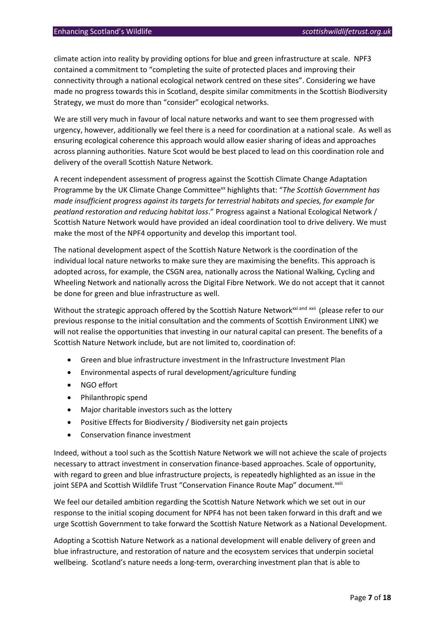climate action into reality by providing options for blue and green infrastructure at scale. NPF3 contained a commitment to "completing the suite of protected places and improving their connectivity through a national ecological network centred on these sites". Considering we have made no progress towards this in Scotland, despite similar commitments in the Scottish Biodiversity Strategy, we must do more than "consider" ecological networks.

We are still very much in favour of local nature networks and want to see them progressed with urgency, however, additionally we feel there is a need for coordination at a national scale. As well as ensuring ecological coherence this approach would allow easier sharing of ideas and approaches across planning authorities. Nature Scot would be best placed to lead on this coordination role and delivery of the overall Scottish Nature Network.

A recent independent assessment of progress against the Scottish Climate Change Adaptation Programme by the UK Climate Change Committee<sup>xx</sup> highlights that: "*The Scottish Government has made insufficient progress against its targets for terrestrial habitats and species, for example for peatland restoration and reducing habitat loss*." Progress against a National Ecological Network / Scottish Nature Network would have provided an ideal coordination tool to drive delivery. We must make the most of the NPF4 opportunity and develop this important tool.

The national development aspect of the Scottish Nature Network is the coordination of the individual local nature networks to make sure they are maximising the benefits. This approach is adopted across, for example, the CSGN area, nationally across the National Walking, Cycling and Wheeling Network and nationally across the Digital Fibre Network. We do not accept that it cannot be done for green and blue infrastructure as well.

Without the strategic approach offered by the Scottish Nature Network<sup>xxi and xxii</sup> (please refer to our previous response to the initial consultation and the comments of Scottish Environment LINK) we will not realise the opportunities that investing in our natural capital can present. The benefits of a Scottish Nature Network include, but are not limited to, coordination of:

- Green and blue infrastructure investment in the Infrastructure Investment Plan
- Environmental aspects of rural development/agriculture funding
- NGO effort
- Philanthropic spend
- Major charitable investors such as the lottery
- Positive Effects for Biodiversity / Biodiversity net gain projects
- Conservation finance investment

Indeed, without a tool such as the Scottish Nature Network we will not achieve the scale of projects necessary to attract investment in conservation finance-based approaches. Scale of opportunity, with regard to green and blue infrastructure projects, is repeatedly highlighted as an issue in the joint SEPA and Scottish Wildlife Trust "Conservation Finance Route Map" document.<sup>xxiii</sup>

We feel our detailed ambition regarding the Scottish Nature Network which we set out in our response to the initial scoping document for NPF4 has not been taken forward in this draft and we urge Scottish Government to take forward the Scottish Nature Network as a National Development.

Adopting a Scottish Nature Network as a national development will enable delivery of green and blue infrastructure, and restoration of nature and the ecosystem services that underpin societal wellbeing. Scotland's nature needs a long-term, overarching investment plan that is able to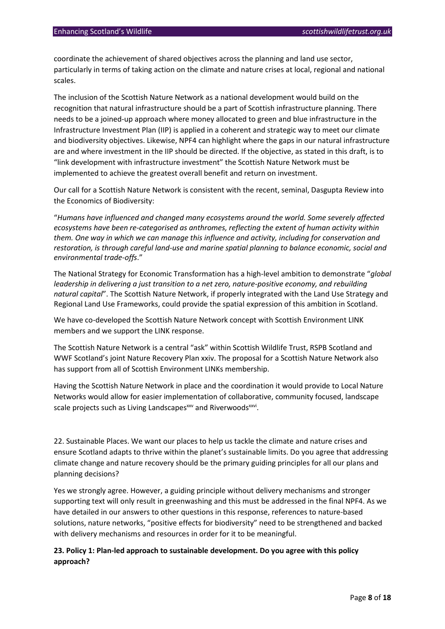coordinate the achievement of shared objectives across the planning and land use sector, particularly in terms of taking action on the climate and nature crises at local, regional and national scales.

The inclusion of the Scottish Nature Network as a national development would build on the recognition that natural infrastructure should be a part of Scottish infrastructure planning. There needs to be a joined-up approach where money allocated to green and blue infrastructure in the Infrastructure Investment Plan (IIP) is applied in a coherent and strategic way to meet our climate and biodiversity objectives. Likewise, NPF4 can highlight where the gaps in our natural infrastructure are and where investment in the IIP should be directed. If the objective, as stated in this draft, is to "link development with infrastructure investment" the Scottish Nature Network must be implemented to achieve the greatest overall benefit and return on investment.

Our call for a Scottish Nature Network is consistent with the recent, seminal, Dasgupta Review into the Economics of Biodiversity:

"*Humans have influenced and changed many ecosystems around the world. Some severely affected ecosystems have been re-categorised as anthromes, reflecting the extent of human activity within them. One way in which we can manage this influence and activity, including for conservation and restoration, is through careful land-use and marine spatial planning to balance economic, social and environmental trade-offs*."

The National Strategy for Economic Transformation has a high-level ambition to demonstrate "*global leadership in delivering a just transition to a net zero, nature-positive economy, and rebuilding natural capital*". The Scottish Nature Network, if properly integrated with the Land Use Strategy and Regional Land Use Frameworks, could provide the spatial expression of this ambition in Scotland.

We have co-developed the Scottish Nature Network concept with Scottish Environment LINK members and we support the LINK response.

The Scottish Nature Network is a central "ask" within Scottish Wildlife Trust, RSPB Scotland and WWF Scotland's joint Nature Recovery Plan xxiv. The proposal for a Scottish Nature Network also has support from all of Scottish Environment LINKs membership.

Having the Scottish Nature Network in place and the coordination it would provide to Local Nature Networks would allow for easier implementation of collaborative, community focused, landscape scale projects such as Living Landscapes<sup>xxv</sup> and Riverwoods<sup>xxvi</sup>.

22. Sustainable Places. We want our places to help us tackle the climate and nature crises and ensure Scotland adapts to thrive within the planet's sustainable limits. Do you agree that addressing climate change and nature recovery should be the primary guiding principles for all our plans and planning decisions?

Yes we strongly agree. However, a guiding principle without delivery mechanisms and stronger supporting text will only result in greenwashing and this must be addressed in the final NPF4. As we have detailed in our answers to other questions in this response, references to nature-based solutions, nature networks, "positive effects for biodiversity" need to be strengthened and backed with delivery mechanisms and resources in order for it to be meaningful.

## **23. Policy 1: Plan-led approach to sustainable development. Do you agree with this policy approach?**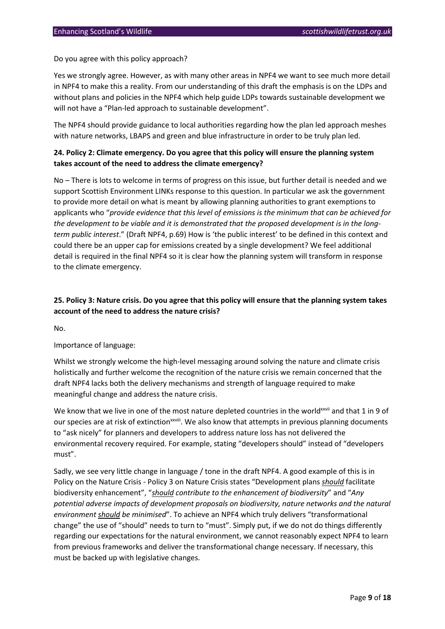Do you agree with this policy approach?

Yes we strongly agree. However, as with many other areas in NPF4 we want to see much more detail in NPF4 to make this a reality. From our understanding of this draft the emphasis is on the LDPs and without plans and policies in the NPF4 which help guide LDPs towards sustainable development we will not have a "Plan-led approach to sustainable development".

The NPF4 should provide guidance to local authorities regarding how the plan led approach meshes with nature networks, LBAPS and green and blue infrastructure in order to be truly plan led.

## **24. Policy 2: Climate emergency. Do you agree that this policy will ensure the planning system takes account of the need to address the climate emergency?**

No – There is lots to welcome in terms of progress on this issue, but further detail is needed and we support Scottish Environment LINKs response to this question. In particular we ask the government to provide more detail on what is meant by allowing planning authorities to grant exemptions to applicants who "*provide evidence that this level of emissions is the minimum that can be achieved for the development to be viable and it is demonstrated that the proposed development is in the longterm public interest*." (Draft NPF4, p.69) How is 'the public interest' to be defined in this context and could there be an upper cap for emissions created by a single development? We feel additional detail is required in the final NPF4 so it is clear how the planning system will transform in response to the climate emergency.

## **25. Policy 3: Nature crisis. Do you agree that this policy will ensure that the planning system takes account of the need to address the nature crisis?**

No.

#### Importance of language:

Whilst we strongly welcome the high-level messaging around solving the nature and climate crisis holistically and further welcome the recognition of the nature crisis we remain concerned that the draft NPF4 lacks both the delivery mechanisms and strength of language required to make meaningful change and address the nature crisis.

We know that we live in one of the most nature depleted countries in the world<sup>xxvii</sup> and that 1 in 9 of our species are at risk of extinction<sup>xxvii</sup>. We also know that attempts in previous planning documents to "ask nicely" for planners and developers to address nature loss has not delivered the environmental recovery required. For example, stating "developers should" instead of "developers must".

Sadly, we see very little change in language / tone in the draft NPF4. A good example of this is in Policy on the Nature Crisis - Policy 3 on Nature Crisis states "Development plans *should* facilitate biodiversity enhancement", "*should contribute to the enhancement of biodiversity*" and "*Any potential adverse impacts of development proposals on biodiversity, nature networks and the natural environment should be minimised*". To achieve an NPF4 which truly delivers "transformational change" the use of "should" needs to turn to "must". Simply put, if we do not do things differently regarding our expectations for the natural environment, we cannot reasonably expect NPF4 to learn from previous frameworks and deliver the transformational change necessary. If necessary, this must be backed up with legislative changes.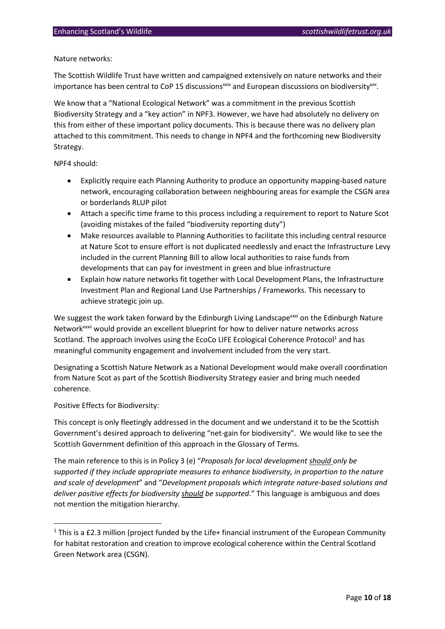#### Nature networks:

The Scottish Wildlife Trust have written and campaigned extensively on nature networks and their importance has been central to CoP 15 discussions<sup>xxix</sup> and European discussions on biodiversity<sup>xxx</sup>.

We know that a "National Ecological Network" was a commitment in the previous Scottish Biodiversity Strategy and a "key action" in NPF3. However, we have had absolutely no delivery on this from either of these important policy documents. This is because there was no delivery plan attached to this commitment. This needs to change in NPF4 and the forthcoming new Biodiversity Strategy.

NPF4 should:

- Explicitly require each Planning Authority to produce an opportunity mapping-based nature network, encouraging collaboration between neighbouring areas for example the CSGN area or borderlands RLUP pilot
- Attach a specific time frame to this process including a requirement to report to Nature Scot (avoiding mistakes of the failed "biodiversity reporting duty")
- Make resources available to Planning Authorities to facilitate this including central resource at Nature Scot to ensure effort is not duplicated needlessly and enact the Infrastructure Levy included in the current Planning Bill to allow local authorities to raise funds from developments that can pay for investment in green and blue infrastructure
- Explain how nature networks fit together with Local Development Plans, the Infrastructure Investment Plan and Regional Land Use Partnerships / Frameworks. This necessary to achieve strategic join up.

We suggest the work taken forward by the Edinburgh Living Landscape<sup>xxxi</sup> on the Edinburgh Nature Networkxxxii would provide an excellent blueprint for how to deliver nature networks across Scotland. The approach involves using the EcoCo LIFE Ecological Coherence Protocol<sup>1</sup> and has meaningful community engagement and involvement included from the very start.

Designating a Scottish Nature Network as a National Development would make overall coordination from Nature Scot as part of the Scottish Biodiversity Strategy easier and bring much needed coherence.

Positive Effects for Biodiversity:

This concept is only fleetingly addressed in the document and we understand it to be the Scottish Government's desired approach to delivering "net-gain for biodiversity". We would like to see the Scottish Government definition of this approach in the Glossary of Terms.

The main reference to this is in Policy 3 (e) "*Proposals for local development should only be supported if they include appropriate measures to enhance biodiversity, in proportion to the nature and scale of development*" and "*Development proposals which integrate nature-based solutions and deliver positive effects for biodiversity should be supported*." This language is ambiguous and does not mention the mitigation hierarchy.

<sup>&</sup>lt;sup>1</sup> This is a £2.3 million (project funded by the Life+ financial instrument of the European Community for habitat restoration and creation to improve ecological coherence within the Central Scotland Green Network area (CSGN).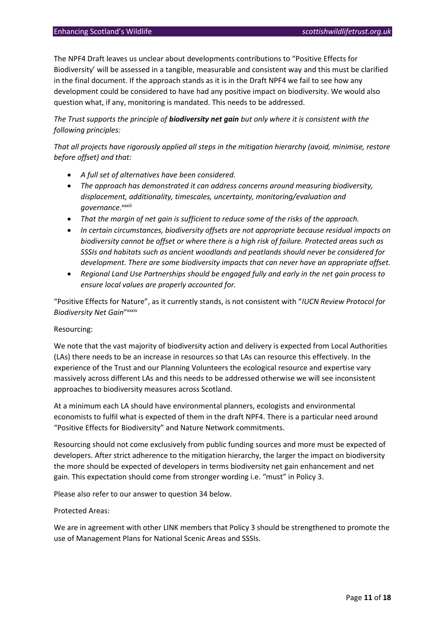The NPF4 Draft leaves us unclear about developments contributions to "Positive Effects for Biodiversity' will be assessed in a tangible, measurable and consistent way and this must be clarified in the final document. If the approach stands as it is in the Draft NPF4 we fail to see how any development could be considered to have had any positive impact on biodiversity. We would also question what, if any, monitoring is mandated. This needs to be addressed.

*The Trust supports the principle of biodiversity net gain but only where it is consistent with the following principles:*

*That all projects have rigorously applied all steps in the mitigation hierarchy (avoid, minimise, restore before offset) and that:*

- *A full set of alternatives have been considered.*
- *The approach has demonstrated it can address concerns around measuring biodiversity, displacement, additionality, timescales, uncertainty, monitoring/evaluation and governance.xxxiii*
- *That the margin of net gain is sufficient to reduce some of the risks of the approach.*
- *In certain circumstances, biodiversity offsets are not appropriate because residual impacts on biodiversity cannot be offset or where there is a high risk of failure. Protected areas such as SSSIs and habitats such as ancient woodlands and peatlands should never be considered for development. There are some biodiversity impacts that can never have an appropriate offset.*
- *Regional Land Use Partnerships should be engaged fully and early in the net gain process to ensure local values are properly accounted for.*

"Positive Effects for Nature", as it currently stands, is not consistent with "*IUCN Review Protocol for Biodiversity Net Gain*" xxxiv

#### Resourcing:

We note that the vast majority of biodiversity action and delivery is expected from Local Authorities (LAs) there needs to be an increase in resources so that LAs can resource this effectively. In the experience of the Trust and our Planning Volunteers the ecological resource and expertise vary massively across different LAs and this needs to be addressed otherwise we will see inconsistent approaches to biodiversity measures across Scotland.

At a minimum each LA should have environmental planners, ecologists and environmental economists to fulfil what is expected of them in the draft NPF4. There is a particular need around "Positive Effects for Biodiversity" and Nature Network commitments.

Resourcing should not come exclusively from public funding sources and more must be expected of developers. After strict adherence to the mitigation hierarchy, the larger the impact on biodiversity the more should be expected of developers in terms biodiversity net gain enhancement and net gain. This expectation should come from stronger wording i.e. "must" in Policy 3.

Please also refer to our answer to question 34 below.

#### Protected Areas:

We are in agreement with other LINK members that Policy 3 should be strengthened to promote the use of Management Plans for National Scenic Areas and SSSIs.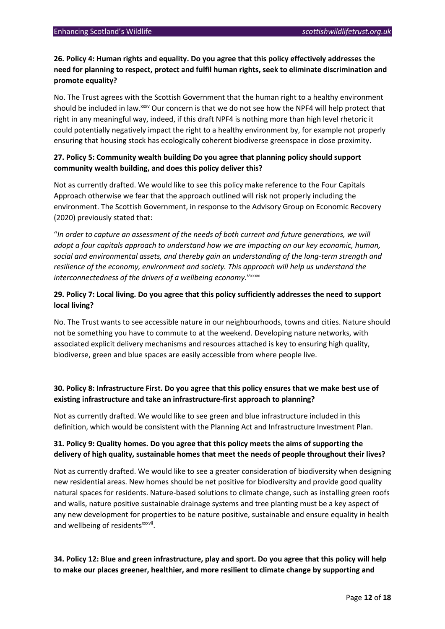## **26. Policy 4: Human rights and equality. Do you agree that this policy effectively addresses the need for planning to respect, protect and fulfil human rights, seek to eliminate discrimination and promote equality?**

No. The Trust agrees with the Scottish Government that the human right to a healthy environment should be included in law.<sup>xxx</sup> Our concern is that we do not see how the NPF4 will help protect that right in any meaningful way, indeed, if this draft NPF4 is nothing more than high level rhetoric it could potentially negatively impact the right to a healthy environment by, for example not properly ensuring that housing stock has ecologically coherent biodiverse greenspace in close proximity.

## **27. Policy 5: Community wealth building Do you agree that planning policy should support community wealth building, and does this policy deliver this?**

Not as currently drafted. We would like to see this policy make reference to the Four Capitals Approach otherwise we fear that the approach outlined will risk not properly including the environment. The Scottish Government, in response to the Advisory Group on Economic Recovery (2020) previously stated that:

"*In order to capture an assessment of the needs of both current and future generations, we will adopt a four capitals approach to understand how we are impacting on our key economic, human, social and environmental assets, and thereby gain an understanding of the long-term strength and resilience of the economy, environment and society. This approach will help us understand the*  interconnectedness of the drivers of a wellbeing economy."xxxvi

## **29. Policy 7: Local living. Do you agree that this policy sufficiently addresses the need to support local living?**

No. The Trust wants to see accessible nature in our neighbourhoods, towns and cities. Nature should not be something you have to commute to at the weekend. Developing nature networks, with associated explicit delivery mechanisms and resources attached is key to ensuring high quality, biodiverse, green and blue spaces are easily accessible from where people live.

## **30. Policy 8: Infrastructure First. Do you agree that this policy ensures that we make best use of existing infrastructure and take an infrastructure-first approach to planning?**

Not as currently drafted. We would like to see green and blue infrastructure included in this definition, which would be consistent with the Planning Act and Infrastructure Investment Plan.

## **31. Policy 9: Quality homes. Do you agree that this policy meets the aims of supporting the delivery of high quality, sustainable homes that meet the needs of people throughout their lives?**

Not as currently drafted. We would like to see a greater consideration of biodiversity when designing new residential areas. New homes should be net positive for biodiversity and provide good quality natural spaces for residents. Nature-based solutions to climate change, such as installing green roofs and walls, nature positive sustainable drainage systems and tree planting must be a key aspect of any new development for properties to be nature positive, sustainable and ensure equality in health and wellbeing of residents<sup>xxxvii</sup>.

## **34. Policy 12: Blue and green infrastructure, play and sport. Do you agree that this policy will help to make our places greener, healthier, and more resilient to climate change by supporting and**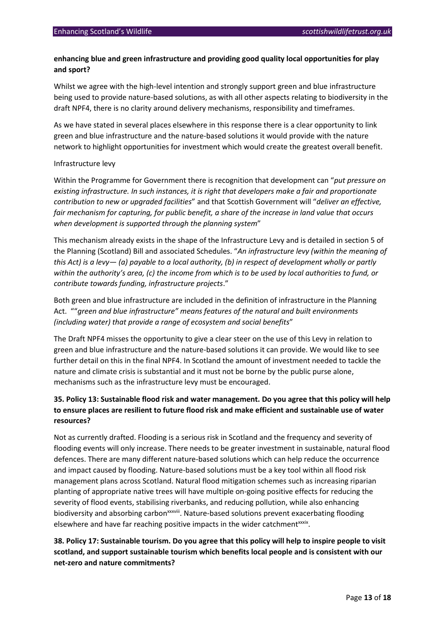## **enhancing blue and green infrastructure and providing good quality local opportunities for play and sport?**

Whilst we agree with the high-level intention and strongly support green and blue infrastructure being used to provide nature-based solutions, as with all other aspects relating to biodiversity in the draft NPF4, there is no clarity around delivery mechanisms, responsibility and timeframes.

As we have stated in several places elsewhere in this response there is a clear opportunity to link green and blue infrastructure and the nature-based solutions it would provide with the nature network to highlight opportunities for investment which would create the greatest overall benefit.

#### Infrastructure levy

Within the Programme for Government there is recognition that development can "*put pressure on existing infrastructure. In such instances, it is right that developers make a fair and proportionate contribution to new or upgraded facilities*" and that Scottish Government will "*deliver an effective, fair mechanism for capturing, for public benefit, a share of the increase in land value that occurs when development is supported through the planning system*"

This mechanism already exists in the shape of the Infrastructure Levy and is detailed in section 5 of the Planning (Scotland) Bill and associated Schedules. "*An infrastructure levy (within the meaning of this Act) is a levy— (a) payable to a local authority, (b) in respect of development wholly or partly within the authority's area, (c) the income from which is to be used by local authorities to fund, or contribute towards funding, infrastructure projects*."

Both green and blue infrastructure are included in the definition of infrastructure in the Planning Act. ""*green and blue infrastructure" means features of the natural and built environments (including water) that provide a range of ecosystem and social benefits*"

The Draft NPF4 misses the opportunity to give a clear steer on the use of this Levy in relation to green and blue infrastructure and the nature-based solutions it can provide. We would like to see further detail on this in the final NPF4. In Scotland the amount of investment needed to tackle the nature and climate crisis is substantial and it must not be borne by the public purse alone, mechanisms such as the infrastructure levy must be encouraged.

## **35. Policy 13: Sustainable flood risk and water management. Do you agree that this policy will help to ensure places are resilient to future flood risk and make efficient and sustainable use of water resources?**

Not as currently drafted. Flooding is a serious risk in Scotland and the frequency and severity of flooding events will only increase. There needs to be greater investment in sustainable, natural flood defences. There are many different nature-based solutions which can help reduce the occurrence and impact caused by flooding. Nature-based solutions must be a key tool within all flood risk management plans across Scotland. Natural flood mitigation schemes such as increasing riparian planting of appropriate native trees will have multiple on-going positive effects for reducing the severity of flood events, stabilising riverbanks, and reducing pollution, while also enhancing biodiversity and absorbing carbon<sup>xxxviii</sup>. Nature-based solutions prevent exacerbating flooding elsewhere and have far reaching positive impacts in the wider catchmentxxxix.

**38. Policy 17: Sustainable tourism. Do you agree that this policy will help to inspire people to visit scotland, and support sustainable tourism which benefits local people and is consistent with our net-zero and nature commitments?**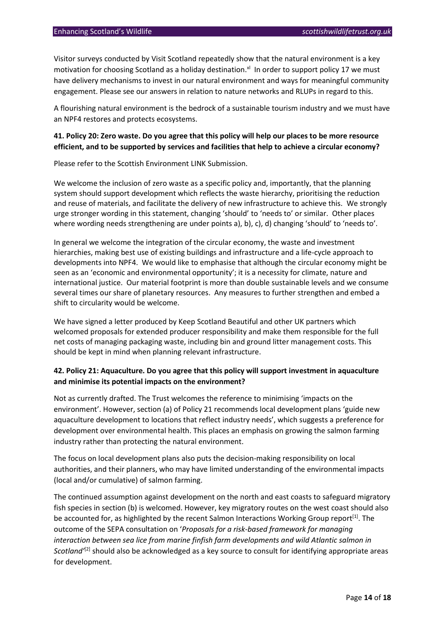Visitor surveys conducted by Visit Scotland repeatedly show that the natural environment is a key motivation for choosing Scotland as a holiday destination.<sup>xl</sup> In order to support policy 17 we must have delivery mechanisms to invest in our natural environment and ways for meaningful community engagement. Please see our answers in relation to nature networks and RLUPs in regard to this.

A flourishing natural environment is the bedrock of a sustainable tourism industry and we must have an NPF4 restores and protects ecosystems.

## **41. Policy 20: Zero waste. Do you agree that this policy will help our places to be more resource efficient, and to be supported by services and facilities that help to achieve a circular economy?**

Please refer to the Scottish Environment LINK Submission.

We welcome the inclusion of zero waste as a specific policy and, importantly, that the planning system should support development which reflects the waste hierarchy, prioritising the reduction and reuse of materials, and facilitate the delivery of new infrastructure to achieve this. We strongly urge stronger wording in this statement, changing 'should' to 'needs to' or similar. Other places where wording needs strengthening are under points a), b), c), d) changing 'should' to 'needs to'.

In general we welcome the integration of the circular economy, the waste and investment hierarchies, making best use of existing buildings and infrastructure and a life-cycle approach to developments into NPF4. We would like to emphasise that although the circular economy might be seen as an 'economic and environmental opportunity'; it is a necessity for climate, nature and international justice. Our material footprint is more than double sustainable levels and we consume several times our share of planetary resources. Any measures to further strengthen and embed a shift to circularity would be welcome.

We have signed a letter produced by Keep Scotland Beautiful and other UK partners which welcomed proposals for extended producer responsibility and make them responsible for the full net costs of managing packaging waste, including bin and ground litter management costs. This should be kept in mind when planning relevant infrastructure.

### **42. Policy 21: Aquaculture. Do you agree that this policy will support investment in aquaculture and minimise its potential impacts on the environment?**

Not as currently drafted. The Trust welcomes the reference to minimising 'impacts on the environment'. However, section (a) of Policy 21 recommends local development plans 'guide new aquaculture development to locations that reflect industry needs', which suggests a preference for development over environmental health. This places an emphasis on growing the salmon farming industry rather than protecting the natural environment.

The focus on local development plans also puts the decision-making responsibility on local authorities, and their planners, who may have limited understanding of the environmental impacts (local and/or cumulative) of salmon farming.

The continued assumption against development on the north and east coasts to safeguard migratory fish species in section (b) is welcomed. However, key migratory routes on the west coast should also be accounted for, as highlighted by the recent Salmon Interactions Working Group report<sup>[1]</sup>. The outcome of the SEPA consultation on '*Proposals for a risk-based framework for managing interaction between sea lice from marine finfish farm developments and wild Atlantic salmon in Scotland'*[2] should also be acknowledged as a key source to consult for identifying appropriate areas for development.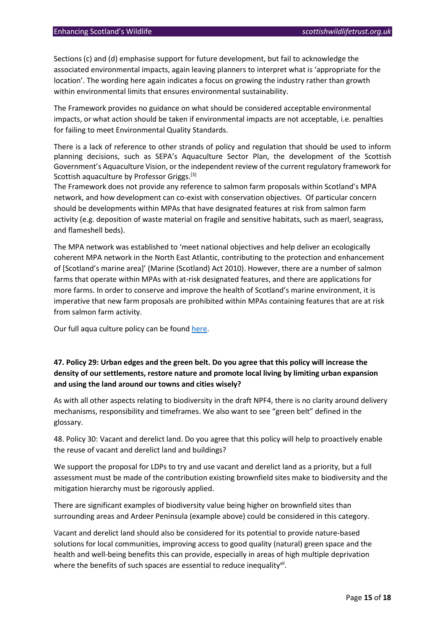Sections (c) and (d) emphasise support for future development, but fail to acknowledge the associated environmental impacts, again leaving planners to interpret what is 'appropriate for the location'. The wording here again indicates a focus on growing the industry rather than growth within environmental limits that ensures environmental sustainability.

The Framework provides no guidance on what should be considered acceptable environmental impacts, or what action should be taken if environmental impacts are not acceptable, i.e. penalties for failing to meet Environmental Quality Standards.

There is a lack of reference to other strands of policy and regulation that should be used to inform planning decisions, such as SEPA's Aquaculture Sector Plan, the development of the Scottish Government's Aquaculture Vision, or the independent review of the current regulatory framework for Scottish aquaculture by Professor Griggs.<sup>[3]</sup>

The Framework does not provide any reference to salmon farm proposals within Scotland's MPA network, and how development can co-exist with conservation objectives. Of particular concern should be developments within MPAs that have designated features at risk from salmon farm activity (e.g. deposition of waste material on fragile and sensitive habitats, such as maerl, seagrass, and flameshell beds).

The MPA network was established to 'meet national objectives and help deliver an ecologically coherent MPA network in the North East Atlantic, contributing to the protection and enhancement of [Scotland's marine area]' (Marine (Scotland) Act 2010). However, there are a number of salmon farms that operate within MPAs with at-risk designated features, and there are applications for more farms. In order to conserve and improve the health of Scotland's marine environment, it is imperative that new farm proposals are prohibited within MPAs containing features that are at risk from salmon farm activity.

Our full aqua culture policy can be foun[d here.](https://www.google.com/search?rlz=1C1GCEU_enGB819GB820&sxsrf=APq-WBt5MQdRWwjMDqUBTXVxsA3rfl2qdQ:1647347662770&q=scottish+wildlife+trust+aquaculture+policy&spell=1&sa=X&ved=2ahUKEwjT8oqikMj2AhWMYsAKHeqLC_QQkeECKAB6BAgBEDI)

## **47. Policy 29: Urban edges and the green belt. Do you agree that this policy will increase the density of our settlements, restore nature and promote local living by limiting urban expansion and using the land around our towns and cities wisely?**

As with all other aspects relating to biodiversity in the draft NPF4, there is no clarity around delivery mechanisms, responsibility and timeframes. We also want to see "green belt" defined in the glossary.

48. Policy 30: Vacant and derelict land. Do you agree that this policy will help to proactively enable the reuse of vacant and derelict land and buildings?

We support the proposal for LDPs to try and use vacant and derelict land as a priority, but a full assessment must be made of the contribution existing brownfield sites make to biodiversity and the mitigation hierarchy must be rigorously applied.

There are significant examples of biodiversity value being higher on brownfield sites than surrounding areas and Ardeer Peninsula (example above) could be considered in this category.

Vacant and derelict land should also be considered for its potential to provide nature-based solutions for local communities, improving access to good quality (natural) green space and the health and well-being benefits this can provide, especially in areas of high multiple deprivation where the benefits of such spaces are essential to reduce inequality<sup>xii</sup>.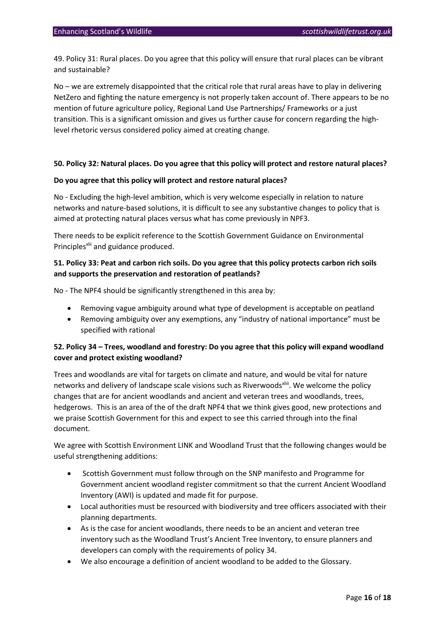49. Policy 31: Rural places. Do you agree that this policy will ensure that rural places can be vibrant and sustainable?

No – we are extremely disappointed that the critical role that rural areas have to play in delivering NetZero and fighting the nature emergency is not properly taken account of. There appears to be no mention of future agriculture policy, Regional Land Use Partnerships/ Frameworks or a just transition. This is a significant omission and gives us further cause for concern regarding the highlevel rhetoric versus considered policy aimed at creating change.

#### **50. Policy 32: Natural places. Do you agree that this policy will protect and restore natural places?**

#### **Do you agree that this policy will protect and restore natural places?**

No - Excluding the high-level ambition, which is very welcome especially in relation to nature networks and nature-based solutions, it is difficult to see any substantive changes to policy that is aimed at protecting natural places versus what has come previously in NPF3.

There needs to be explicit reference to the Scottish Government Guidance on Environmental Principles<sup>xlii</sup> and guidance produced.

## **51. Policy 33: Peat and carbon rich soils. Do you agree that this policy protects carbon rich soils and supports the preservation and restoration of peatlands?**

No - The NPF4 should be significantly strengthened in this area by:

- Removing vague ambiguity around what type of development is acceptable on peatland
- Removing ambiguity over any exemptions, any "industry of national importance" must be specified with rational

## **52. Policy 34 – Trees, woodland and forestry: Do you agree that this policy will expand woodland cover and protect existing woodland?**

Trees and woodlands are vital for targets on climate and nature, and would be vital for nature networks and delivery of landscape scale visions such as Riverwoods<sup>xliii</sup>. We welcome the policy changes that are for ancient woodlands and ancient and veteran trees and woodlands, trees, hedgerows. This is an area of the of the draft NPF4 that we think gives good, new protections and we praise Scottish Government for this and expect to see this carried through into the final document.

We agree with Scottish Environment LINK and Woodland Trust that the following changes would be useful strengthening additions:

- Scottish Government must follow through on the SNP manifesto and Programme for Government ancient woodland register commitment so that the current Ancient Woodland Inventory (AWI) is updated and made fit for purpose.
- Local authorities must be resourced with biodiversity and tree officers associated with their planning departments.
- As is the case for ancient woodlands, there needs to be an ancient and veteran tree inventory such as the Woodland Trust's Ancient Tree Inventory, to ensure planners and developers can comply with the requirements of policy 34.
- We also encourage a definition of ancient woodland to be added to the Glossary.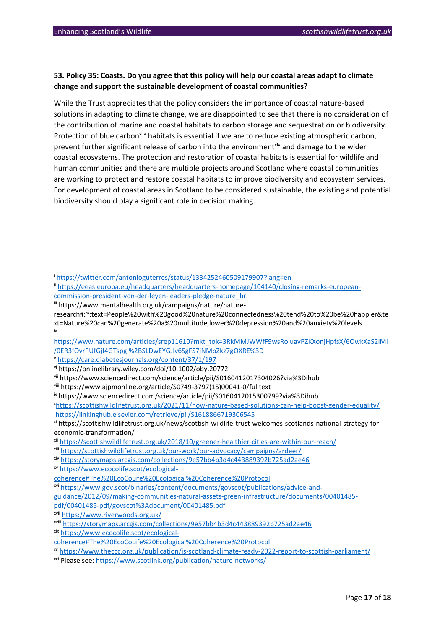## **53. Policy 35: Coasts. Do you agree that this policy will help our coastal areas adapt to climate change and support the sustainable development of coastal communities?**

While the Trust appreciates that the policy considers the importance of coastal nature-based solutions in adapting to climate change, we are disappointed to see that there is no consideration of the contribution of marine and coastal habitats to carbon storage and sequestration or biodiversity. Protection of blue carbon<sup>xliv</sup> habitats is essential if we are to reduce existing atmospheric carbon, prevent further significant release of carbon into the environment<sup>xly</sup> and damage to the wider coastal ecosystems. The protection and restoration of coastal habitats is essential for wildlife and human communities and there are multiple projects around Scotland where coastal communities are working to protect and restore coastal habitats to improve biodiversity and ecosystem services. For development of coastal areas in Scotland to be considered sustainable, the existing and potential biodiversity should play a significant role in decision making.

iii https://www.mentalhealth.org.uk/campaigns/nature/nature-

<sup>v</sup> <https://care.diabetesjournals.org/content/37/1/197>

vii https://www.sciencedirect.com/science/article/pii/S0160412017304026?via%3Dihub

viii https://www.ajpmonline.org/article/S0749-3797(15)00041-0/fulltext

xxi Please see[: https://www.scotlink.org/publication/nature-networks/](https://www.scotlink.org/publication/nature-networks/)

<sup>i</sup> <https://twitter.com/antonioguterres/status/1334252460509179907?lang=en>

ii [https://eeas.europa.eu/headquarters/headquarters-homepage/104140/closing-remarks-european](https://eeas.europa.eu/headquarters/headquarters-homepage/104140/closing-remarks-european-commission-president-von-der-leyen-leaders-pledge-nature_hr)[commission-president-von-der-leyen-leaders-pledge-nature\\_hr](https://eeas.europa.eu/headquarters/headquarters-homepage/104140/closing-remarks-european-commission-president-von-der-leyen-leaders-pledge-nature_hr)

research#:~:text=People%20with%20good%20nature%20connectedness%20tend%20to%20be%20happier&te xt=Nature%20can%20generate%20a%20multitude,lower%20depression%20and%20anxiety%20levels. iv

[https://www.nature.com/articles/srep11610?mkt\\_tok=3RkMMJWWfF9wsRoiuavPZKXonjHpfsX/6OwkXaS2lMI](https://www.nature.com/articles/srep11610?mkt_tok=3RkMMJWWfF9wsRoiuavPZKXonjHpfsX/6OwkXaS2lMI/0ER3fOvrPUfGjI4GTspgI%2BSLDwEYGJlv6SgFS7jNMbZkz7gOXRE%3D) [/0ER3fOvrPUfGjI4GTspgI%2BSLDwEYGJlv6SgFS7jNMbZkz7gOXRE%3D](https://www.nature.com/articles/srep11610?mkt_tok=3RkMMJWWfF9wsRoiuavPZKXonjHpfsX/6OwkXaS2lMI/0ER3fOvrPUfGjI4GTspgI%2BSLDwEYGJlv6SgFS7jNMbZkz7gOXRE%3D)

vi https://onlinelibrary.wiley.com/doi/10.1002/oby.20772

ix https://www.sciencedirect.com/science/article/pii/S0160412015300799?via%3Dihub

<sup>x</sup><https://scottishwildlifetrust.org.uk/2021/11/how-nature-based-solutions-can-help-boost-gender-equality/> <https://linkinghub.elsevier.com/retrieve/pii/S1618866719306545>

xi https://scottishwildlifetrust.org.uk/news/scottish-wildlife-trust-welcomes-scotlands-national-strategy-foreconomic-transformation/

xii <https://scottishwildlifetrust.org.uk/2018/10/greener-healthier-cities-are-within-our-reach/>

xiii <https://scottishwildlifetrust.org.uk/our-work/our-advocacy/campaigns/ardeer/>

xiv <https://storymaps.arcgis.com/collections/9e57bb4b3d4c443889392b725ad2ae46>

xv [https://www.ecocolife.scot/ecological-](https://www.ecocolife.scot/ecological-coherence#The%20EcoCoLife%20Ecological%20Coherence%20Protocol)

[coherence#The%20EcoCoLife%20Ecological%20Coherence%20Protocol](https://www.ecocolife.scot/ecological-coherence#The%20EcoCoLife%20Ecological%20Coherence%20Protocol)

xvi [https://www.gov.scot/binaries/content/documents/govscot/publications/advice-and-](https://www.gov.scot/binaries/content/documents/govscot/publications/advice-and-guidance/2012/09/making-communities-natural-assets-green-infrastructure/documents/00401485-pdf/00401485-pdf/govscot%3Adocument/00401485.pdf)

[guidance/2012/09/making-communities-natural-assets-green-infrastructure/documents/00401485-](https://www.gov.scot/binaries/content/documents/govscot/publications/advice-and-guidance/2012/09/making-communities-natural-assets-green-infrastructure/documents/00401485-pdf/00401485-pdf/govscot%3Adocument/00401485.pdf)

[pdf/00401485-pdf/govscot%3Adocument/00401485.pdf](https://www.gov.scot/binaries/content/documents/govscot/publications/advice-and-guidance/2012/09/making-communities-natural-assets-green-infrastructure/documents/00401485-pdf/00401485-pdf/govscot%3Adocument/00401485.pdf)

xvii <https://www.riverwoods.org.uk/>

xviii <https://storymaps.arcgis.com/collections/9e57bb4b3d4c443889392b725ad2ae46>

xix [https://www.ecocolife.scot/ecological-](https://www.ecocolife.scot/ecological-coherence#The%20EcoCoLife%20Ecological%20Coherence%20Protocol)

[coherence#The%20EcoCoLife%20Ecological%20Coherence%20Protocol](https://www.ecocolife.scot/ecological-coherence#The%20EcoCoLife%20Ecological%20Coherence%20Protocol)

xx <https://www.theccc.org.uk/publication/is-scotland-climate-ready-2022-report-to-scottish-parliament/>